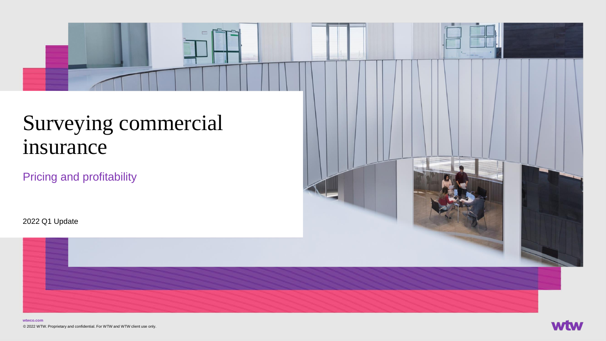# Surveying commercial insurance

Pricing and profitability

2022 Q1 Update

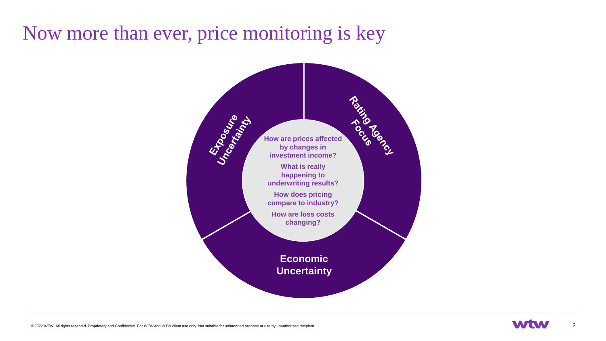# Now more than ever, price monitoring is key



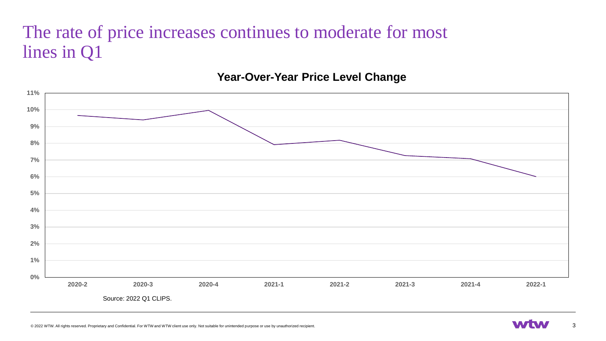## The rate of price increases continues to moderate for most lines in Q1

#### **Year-Over-Year Price Level Change**



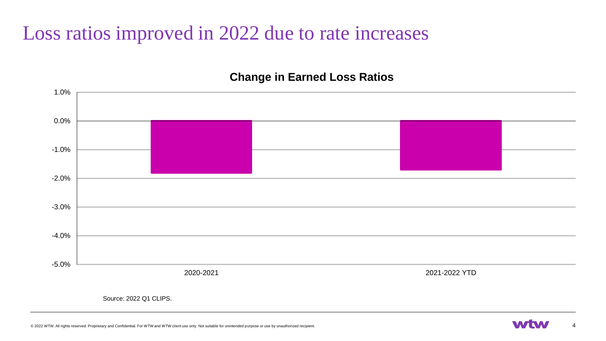## Loss ratios improved in 2022 due to rate increases



#### **Change in Earned Loss Ratios**

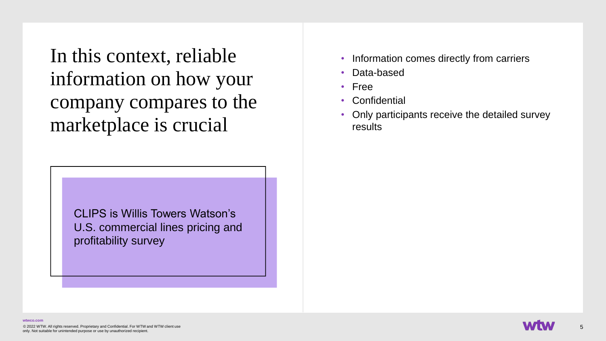In this context, reliable information on how your company compares to the marketplace is crucial

> CLIPS is Willis Towers Watson's U.S. commercial lines pricing and profitability survey

- Information comes directly from carriers
- Data-based
- Free
- Confidential
- Only participants receive the detailed survey results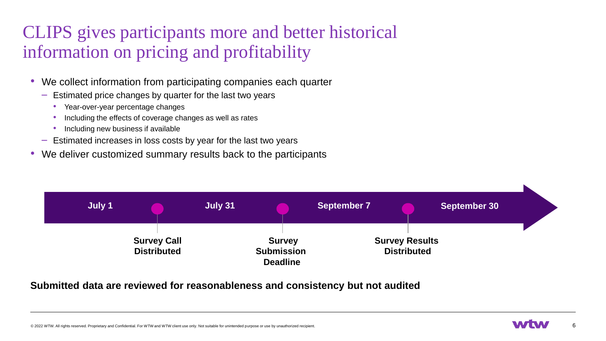## CLIPS gives participants more and better historical information on pricing and profitability

- We collect information from participating companies each quarter
	- Estimated price changes by quarter for the last two years
		- Year-over-year percentage changes
		- Including the effects of coverage changes as well as rates
		- Including new business if available
	- Estimated increases in loss costs by year for the last two years
- We deliver customized summary results back to the participants



#### **Submitted data are reviewed for reasonableness and consistency but not audited**

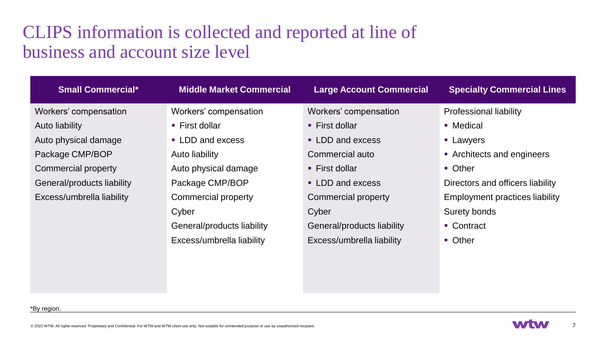## CLIPS information is collected and reported at line of business and account size level

| <b>Small Commercial*</b>   | <b>Middle Market Commercial</b> | <b>Large Account Commercial</b> | <b>Specialty Commercial Lines</b>     |
|----------------------------|---------------------------------|---------------------------------|---------------------------------------|
| Workers' compensation      | Workers' compensation           | Workers' compensation           | <b>Professional liability</b>         |
| Auto liability             | $\blacksquare$ First dollar     | $\blacksquare$ First dollar     | • Medical                             |
| Auto physical damage       | • LDD and excess                | • LDD and excess                | • Lawyers                             |
| Package CMP/BOP            | Auto liability                  | Commercial auto                 | • Architects and engineers            |
| Commercial property        | Auto physical damage            | $\blacksquare$ First dollar     | • Other                               |
| General/products liability | Package CMP/BOP                 | • LDD and excess                | Directors and officers liability      |
| Excess/umbrella liability  | Commercial property             | Commercial property             | <b>Employment practices liability</b> |
|                            | Cyber                           | Cyber                           | Surety bonds                          |
|                            | General/products liability      | General/products liability      | • Contract                            |
|                            | Excess/umbrella liability       | Excess/umbrella liability       | • Other                               |

\*By region.

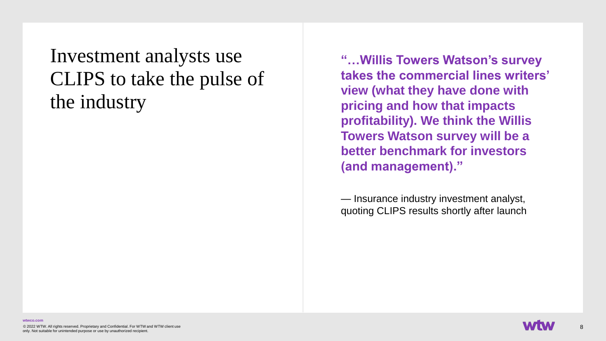Investment analysts use CLIPS to take the pulse of the industry

**"…Willis Towers Watson's survey takes the commercial lines writers' view (what they have done with pricing and how that impacts profitability). We think the Willis Towers Watson survey will be a better benchmark for investors (and management)."** 

— Insurance industry investment analyst, quoting CLIPS results shortly after launch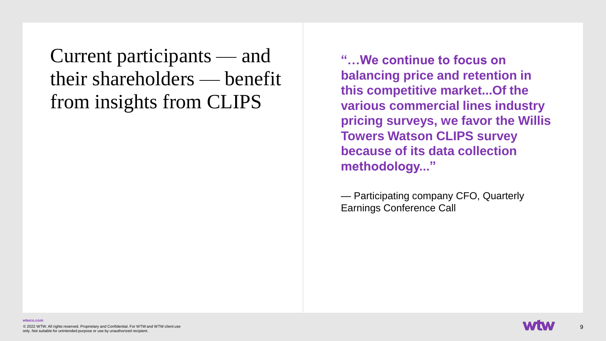Current participants — and their shareholders — benefit from insights from CLIPS

**"…We continue to focus on balancing price and retention in this competitive market...Of the various commercial lines industry pricing surveys, we favor the Willis Towers Watson CLIPS survey because of its data collection methodology..."**

— Participating company CFO, Quarterly Earnings Conference Call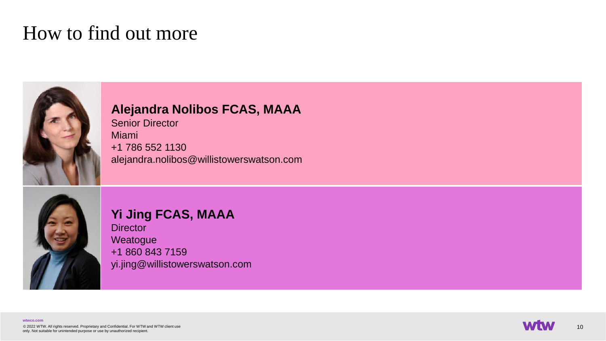## How to find out more



### **Alejandra Nolibos FCAS, MAAA**

Senior Director Miami +1 786 552 1130 alejandra.nolibos@willistowerswatson.com



### **Yi Jing FCAS, MAAA**

**Director Weatogue** +1 860 843 7159 yi.jing@willistowerswatson.com